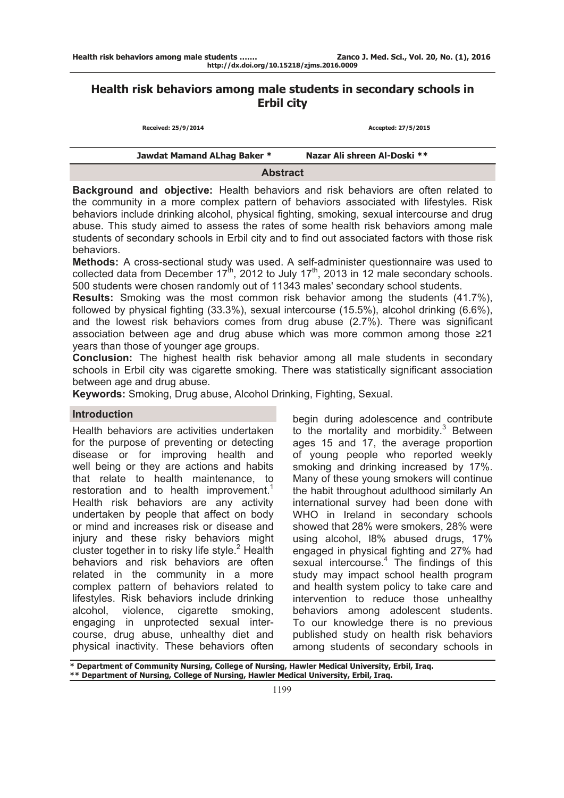# **Health risk behaviors among male students in secondary schools in Erbil city**

| Received: 25/9/2014         | Accepted: 27/5/2015          |  |  |  |
|-----------------------------|------------------------------|--|--|--|
|                             |                              |  |  |  |
| Jawdat Mamand ALhag Baker * | Nazar Ali shreen Al-Doski ** |  |  |  |

#### **Abstract**

**Background and objective:** Health behaviors and risk behaviors are often related to the community in a more complex pattern of behaviors associated with lifestyles. Risk behaviors include drinking alcohol, physical fighting, smoking, sexual intercourse and drug abuse. This study aimed to assess the rates of some health risk behaviors among male students of secondary schools in Erbil city and to find out associated factors with those risk behaviors.

**Methods:** A cross-sectional study was used. A self-administer questionnaire was used to collected data from December  $17<sup>th</sup>$ , 2012 to July  $17<sup>th</sup>$ , 2013 in 12 male secondary schools. 500 students were chosen randomly out of 11343 males' secondary school students.

**Results:** Smoking was the most common risk behavior among the students (41.7%), followed by physical fighting (33.3%), sexual intercourse (15.5%), alcohol drinking (6.6%), and the lowest risk behaviors comes from drug abuse (2.7%). There was significant association between age and drug abuse which was more common among those ≥21 years than those of younger age groups.

**Conclusion:** The highest health risk behavior among all male students in secondary schools in Erbil city was cigarette smoking. There was statistically significant association between age and drug abuse.

**Keywords:** Smoking, Drug abuse, Alcohol Drinking, Fighting, Sexual.

### **Introduction**

Health behaviors are activities undertaken for the purpose of preventing or detecting disease or for improving health and well being or they are actions and habits that relate to health maintenance, to restoration and to health improvement.<sup>1</sup> Health risk behaviors are any activity undertaken by people that affect on body or mind and increases risk or disease and injury and these risky behaviors might cluster together in to risky life style. $2$  Health behaviors and risk behaviors are often related in the community in a more complex pattern of behaviors related to lifestyles. Risk behaviors include drinking alcohol, violence, cigarette smoking, engaging in unprotected sexual intercourse, drug abuse, unhealthy diet and physical inactivity. These behaviors often

begin during adolescence and contribute to the mortality and morbidity.<sup>3</sup> Between ages 15 and 17, the average proportion of young people who reported weekly smoking and drinking increased by 17%. Many of these young smokers will continue the habit throughout adulthood similarly An international survey had been done with WHO in Ireland in secondary schools showed that 28% were smokers, 28% were using alcohol, l8% abused drugs, 17% engaged in physical fighting and 27% had sexual intercourse.<sup>4</sup> The findings of this study may impact school health program and health system policy to take care and intervention to reduce those unhealthy behaviors among adolescent students. To our knowledge there is no previous published study on health risk behaviors among students of secondary schools in

**\* Department of Community Nursing, College of Nursing, Hawler Medical University, Erbil, Iraq. \*\* Department of Nursing, College of Nursing, Hawler Medical University, Erbil, Iraq.**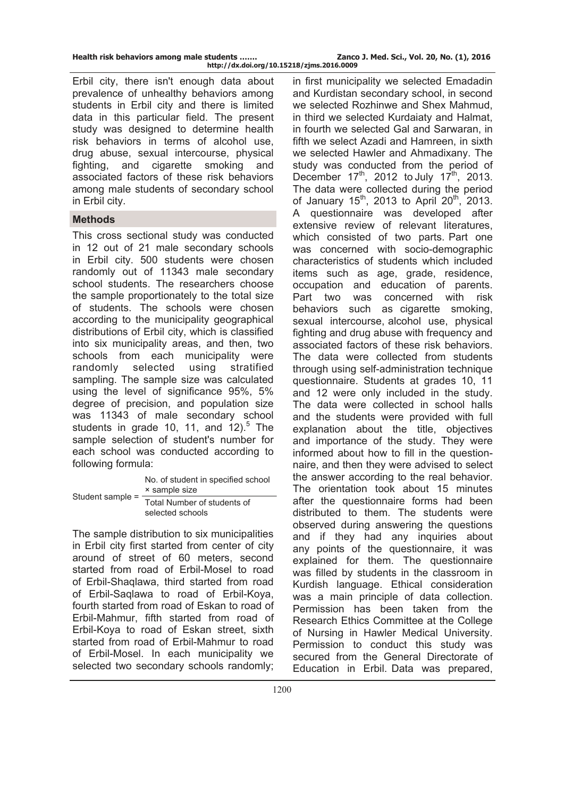Erbil city, there isn't enough data about prevalence of unhealthy behaviors among students in Erbil city and there is limited data in this particular field. The present study was designed to determine health risk behaviors in terms of alcohol use, drug abuse, sexual intercourse, physical fighting, and cigarette smoking and associated factors of these risk behaviors among male students of secondary school in Erbil city.

## **Methods**

This cross sectional study was conducted in 12 out of 21 male secondary schools in Erbil city. 500 students were chosen randomly out of 11343 male secondary school students. The researchers choose the sample proportionately to the total size of students. The schools were chosen according to the municipality geographical distributions of Erbil city, which is classified into six municipality areas, and then, two schools from each municipality were randomly selected using stratified sampling. The sample size was calculated using the level of significance 95%, 5% degree of precision, and population size was 11343 of male secondary school students in grade 10, 11, and  $12$ <sup>5</sup> The sample selection of student's number for each school was conducted according to following formula:

| Student sample = | No. of student in specified school<br>× sample size |  |  |  |  |
|------------------|-----------------------------------------------------|--|--|--|--|
|                  | Total Number of students of<br>selected schools     |  |  |  |  |

The sample distribution to six municipalities in Erbil city first started from center of city around of street of 60 meters, second started from road of Erbil-Mosel to road of Erbil-Shaqlawa, third started from road of Erbil-Saqlawa to road of Erbil-Koya, fourth started from road of Eskan to road of Erbil-Mahmur, fifth started from road of Erbil-Koya to road of Eskan street, sixth started from road of Erbil-Mahmur to road of Erbil-Mosel. In each municipality we selected two secondary schools randomly;

in first municipality we selected Emadadin and Kurdistan secondary school, in second we selected Rozhinwe and Shex Mahmud, in third we selected Kurdaiaty and Halmat, in fourth we selected Gal and Sarwaran, in fifth we select Azadi and Hamreen, in sixth we selected Hawler and Ahmadixany. The study was conducted from the period of December  $17<sup>th</sup>$ , 2012 to July  $17<sup>th</sup>$ , 2013. The data were collected during the period of January  $15^{th}$ , 2013 to April  $20^{th}$ , 2013. A questionnaire was developed after extensive review of relevant literatures, which consisted of two parts. Part one was concerned with socio-demographic characteristics of students which included items such as age, grade, residence, occupation and education of parents. Part two was concerned with risk behaviors such as cigarette smoking, sexual intercourse, alcohol use, physical fighting and drug abuse with frequency and associated factors of these risk behaviors. The data were collected from students through using self-administration technique questionnaire. Students at grades 10, 11 and 12 were only included in the study. The data were collected in school halls and the students were provided with full explanation about the title, objectives and importance of the study. They were informed about how to fill in the questionnaire, and then they were advised to select the answer according to the real behavior. The orientation took about 15 minutes after the questionnaire forms had been distributed to them. The students were observed during answering the questions and if they had any inquiries about any points of the questionnaire, it was explained for them. The questionnaire was filled by students in the classroom in Kurdish language. Ethical consideration was a main principle of data collection. Permission has been taken from the Research Ethics Committee at the College of Nursing in Hawler Medical University. Permission to conduct this study was secured from the General Directorate of Education in Erbil. Data was prepared,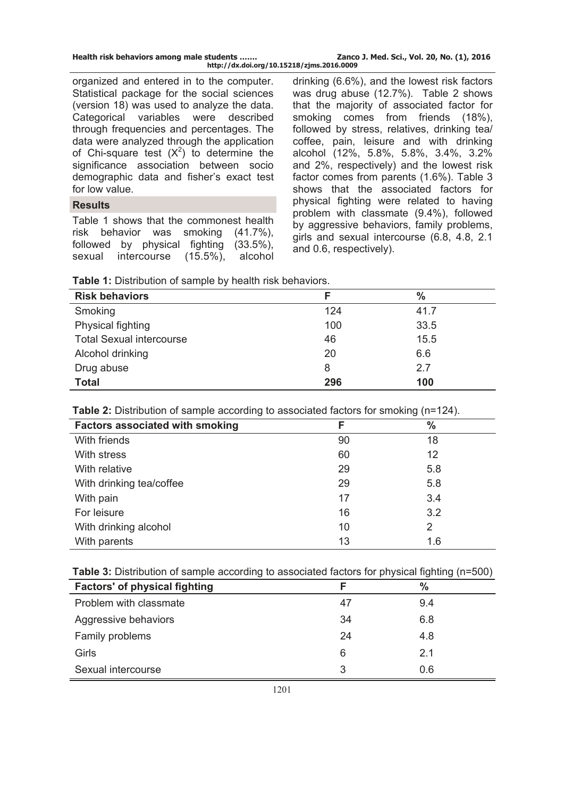| Health risk behaviors among male students | Zanco J. Med. Sci., Vol. 20, No. (1), 2016 |
|-------------------------------------------|--------------------------------------------|
| http://dx.doi.org/10.15218/zjms.2016.0009 |                                            |

organized and entered in to the computer. Statistical package for the social sciences (version 18) was used to analyze the data. Categorical variables were described through frequencies and percentages. The data were analyzed through the application of Chi-square test  $(X^2)$  to determine the significance association between socio demographic data and fisher's exact test for low value.

### **Results**

Table 1 shows that the commonest health risk behavior was smoking (41.7%), followed by physical fighting (33.5%), sexual intercourse (15.5%), alcohol drinking (6.6%), and the lowest risk factors was drug abuse (12.7%). Table 2 shows that the majority of associated factor for smoking comes from friends (18%), followed by stress, relatives, drinking tea/ coffee, pain, leisure and with drinking alcohol (12%, 5.8%, 5.8%, 3.4%, 3.2% and 2%, respectively) and the lowest risk factor comes from parents (1.6%). Table 3 shows that the associated factors for physical fighting were related to having problem with classmate (9.4%), followed by aggressive behaviors, family problems, girls and sexual intercourse (6.8, 4.8, 2.1 and 0.6, respectively).

| <b>Risk behaviors</b>           |     | $\%$ |
|---------------------------------|-----|------|
| Smoking                         | 124 | 41.7 |
| Physical fighting               | 100 | 33.5 |
| <b>Total Sexual intercourse</b> | 46  | 15.5 |
| Alcohol drinking                | 20  | 6.6  |
| Drug abuse                      | 8   | 2.7  |
| <b>Total</b>                    | 296 | 100  |

**Table 2:** Distribution of sample according to associated factors for smoking (n=124).

| ີ<br><b>Factors associated with smoking</b> | F  | $\frac{0}{0}$ |
|---------------------------------------------|----|---------------|
| With friends                                | 90 | 18            |
| With stress                                 | 60 | 12            |
| With relative                               | 29 | 5.8           |
| With drinking tea/coffee                    | 29 | 5.8           |
| With pain                                   | 17 | 3.4           |
| For leisure                                 | 16 | 3.2           |
| With drinking alcohol                       | 10 | 2             |
| With parents                                | 13 | 1.6           |

| Table 3: Distribution of sample according to associated factors for physical fighting (n=500) |  |  |  |  |
|-----------------------------------------------------------------------------------------------|--|--|--|--|
|-----------------------------------------------------------------------------------------------|--|--|--|--|

| <b>Factors' of physical fighting</b> | F  | $\%$ |
|--------------------------------------|----|------|
| Problem with classmate               | 47 | 9.4  |
| Aggressive behaviors                 | 34 | 6.8  |
| Family problems                      | 24 | 4.8  |
| Girls                                | 6  | 2.1  |
| Sexual intercourse                   | 3  | 0.6  |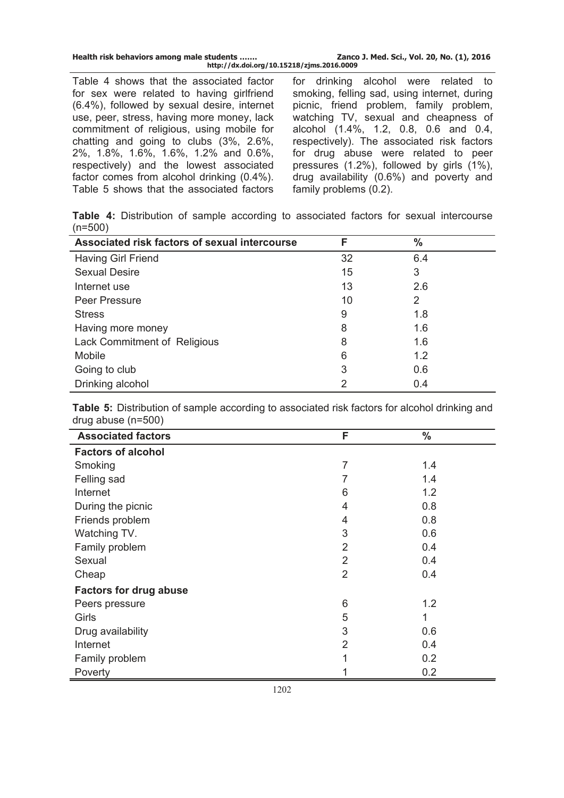| Health risk behaviors among male students | Zanco J. Med. Sci., Vol. 20, No. (1), 2016 |
|-------------------------------------------|--------------------------------------------|
| http://dx.doi.org/10.15218/zjms.2016.0009 |                                            |

Table 4 shows that the associated factor for sex were related to having girlfriend (6.4%), followed by sexual desire, internet use, peer, stress, having more money, lack commitment of religious, using mobile for chatting and going to clubs (3%, 2.6%, 2%, 1.8%, 1.6%, 1.6%, 1.2% and 0.6%, respectively) and the lowest associated factor comes from alcohol drinking (0.4%). Table 5 shows that the associated factors for drinking alcohol were related to smoking, felling sad, using internet, during picnic, friend problem, family problem, watching TV, sexual and cheapness of alcohol (1.4%, 1.2, 0.8, 0.6 and 0.4, respectively). The associated risk factors for drug abuse were related to peer pressures (1.2%), followed by girls (1%), drug availability (0.6%) and poverty and family problems (0.2).

**Table 4:** Distribution of sample according to associated factors for sexual intercourse (n=500)

| Associated risk factors of sexual intercourse | F  | $\frac{0}{0}$ |
|-----------------------------------------------|----|---------------|
| <b>Having Girl Friend</b>                     | 32 | 6.4           |
| <b>Sexual Desire</b>                          | 15 | 3             |
| Internet use                                  | 13 | 2.6           |
| Peer Pressure                                 | 10 | 2             |
| <b>Stress</b>                                 | 9  | 1.8           |
| Having more money                             | 8  | 1.6           |
| Lack Commitment of Religious                  | 8  | 1.6           |
| Mobile                                        | 6  | 1.2           |
| Going to club                                 | 3  | 0.6           |
| Drinking alcohol                              | 2  | 0.4           |

**Table 5:** Distribution of sample according to associated risk factors for alcohol drinking and drug abuse (n=500)

| <b>Associated factors</b>     | F              | $\frac{0}{0}$ |  |
|-------------------------------|----------------|---------------|--|
| <b>Factors of alcohol</b>     |                |               |  |
| Smoking                       | $\overline{7}$ | 1.4           |  |
| Felling sad                   |                | 1.4           |  |
| Internet                      | 6              | 1.2           |  |
| During the picnic             | 4              | 0.8           |  |
| Friends problem               | 4              | 0.8           |  |
| Watching TV.                  | 3              | 0.6           |  |
| Family problem                | $\overline{2}$ | 0.4           |  |
| Sexual                        | $\overline{2}$ | 0.4           |  |
| Cheap                         | $\overline{2}$ | 0.4           |  |
| <b>Factors for drug abuse</b> |                |               |  |
| Peers pressure                | 6              | 1.2           |  |
| Girls                         | 5              | 1             |  |
| Drug availability             | 3              | 0.6           |  |
| Internet                      | $\overline{2}$ | 0.4           |  |
| Family problem                | 1              | 0.2           |  |
| Poverty                       |                | 0.2           |  |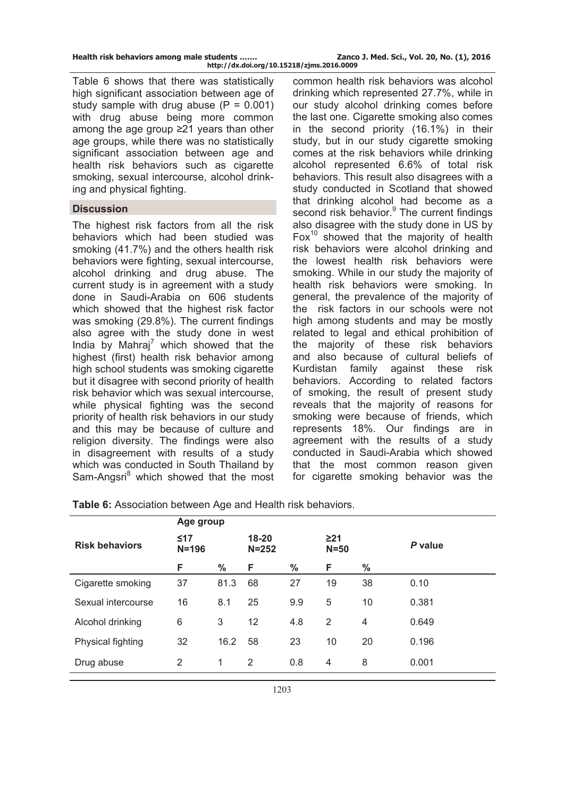Table 6 shows that there was statistically high significant association between age of study sample with drug abuse  $(P = 0.001)$ with drug abuse being more common among the age group ≥21 years than other age groups, while there was no statistically significant association between age and health risk behaviors such as cigarette smoking, sexual intercourse, alcohol drinking and physical fighting.

### **Discussion**

The highest risk factors from all the risk behaviors which had been studied was smoking (41.7%) and the others health risk behaviors were fighting, sexual intercourse, alcohol drinking and drug abuse. The current study is in agreement with a study done in Saudi-Arabia on 606 students which showed that the highest risk factor was smoking (29.8%). The current findings also agree with the study done in west India by Mahraj $^7$  which showed that the highest (first) health risk behavior among high school students was smoking cigarette but it disagree with second priority of health risk behavior which was sexual intercourse, while physical fighting was the second priority of health risk behaviors in our study and this may be because of culture and religion diversity. The findings were also in disagreement with results of a study which was conducted in South Thailand by Sam-Angsri<sup>8</sup> which showed that the most

common health risk behaviors was alcohol drinking which represented 27.7%, while in our study alcohol drinking comes before the last one. Cigarette smoking also comes in the second priority (16.1%) in their study, but in our study cigarette smoking comes at the risk behaviors while drinking alcohol represented 6.6% of total risk behaviors. This result also disagrees with a study conducted in Scotland that showed that drinking alcohol had become as a second risk behavior.<sup>9</sup> The current findings also disagree with the study done in US by Fox $10$  showed that the majority of health risk behaviors were alcohol drinking and the lowest health risk behaviors were smoking. While in our study the majority of health risk behaviors were smoking. In general, the prevalence of the majority of the risk factors in our schools were not high among students and may be mostly related to legal and ethical prohibition of the majority of these risk behaviors and also because of cultural beliefs of Kurdistan family against these risk behaviors. According to related factors of smoking, the result of present study reveals that the majority of reasons for smoking were because of friends, which represents 18%. Our findings are in agreement with the results of a study conducted in Saudi-Arabia which showed that the most common reason given for cigarette smoking behavior was the

|                       | Age group              |               |                        |               |                     |    |         |
|-----------------------|------------------------|---------------|------------------------|---------------|---------------------|----|---------|
| <b>Risk behaviors</b> | $\leq 17$<br>$N = 196$ |               | $18 - 20$<br>$N = 252$ |               | $\geq$ 21<br>$N=50$ |    | P value |
|                       | F                      | $\frac{0}{0}$ | F                      | $\frac{0}{0}$ | F                   | %  |         |
| Cigarette smoking     | 37                     | 81.3          | 68                     | 27            | 19                  | 38 | 0.10    |
| Sexual intercourse    | 16                     | 8.1           | 25                     | 9.9           | 5                   | 10 | 0.381   |
| Alcohol drinking      | 6                      | 3             | 12                     | 4.8           | $\overline{2}$      | 4  | 0.649   |
| Physical fighting     | 32                     | 16.2          | 58                     | 23            | 10                  | 20 | 0.196   |
| Drug abuse            | 2                      | 1             | 2                      | 0.8           | 4                   | 8  | 0.001   |
|                       |                        |               |                        |               |                     |    |         |

**Table 6:** Association between Age and Health risk behaviors.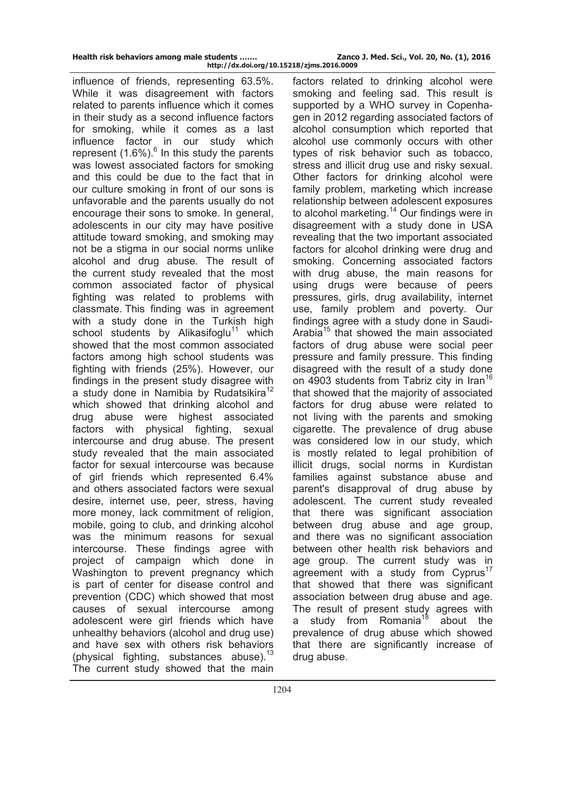| Health risk behaviors among male students |                                           | Zanco |
|-------------------------------------------|-------------------------------------------|-------|
|                                           | http://dx.doi.org/10.15218/zjms.2016.0009 |       |

influence of friends, representing 63.5%. While it was disagreement with factors related to parents influence which it comes in their study as a second influence factors for smoking, while it comes as a last influence factor in our study which represent  $(1.6\%)$ <sup>6</sup> In this study the parents was lowest associated factors for smoking and this could be due to the fact that in our culture smoking in front of our sons is unfavorable and the parents usually do not encourage their sons to smoke. In general, adolescents in our city may have positive attitude toward smoking, and smoking may not be a stigma in our social norms unlike alcohol and drug abuse. The result of the current study revealed that the most common associated factor of physical fighting was related to problems with classmate. This finding was in agreement with a study done in the Turkish high school students by Alikasifoglu<sup>11</sup> which showed that the most common associated factors among high school students was fighting with friends (25%). However, our findings in the present study disagree with a study done in Namibia by Rudatsikira<sup>12</sup> which showed that drinking alcohol and drug abuse were highest associated factors with physical fighting, sexual intercourse and drug abuse. The present study revealed that the main associated factor for sexual intercourse was because of girl friends which represented 6.4% and others associated factors were sexual desire, internet use, peer, stress, having more money, lack commitment of religion, mobile, going to club, and drinking alcohol was the minimum reasons for sexual intercourse. These findings agree with project of campaign which done in Washington to prevent pregnancy which is part of center for disease control and prevention (CDC) which showed that most causes of sexual intercourse among adolescent were girl friends which have unhealthy behaviors (alcohol and drug use) and have sex with others risk behaviors (physical fighting, substances abuse). $^{13}$ The current study showed that the main

factors related to drinking alcohol were smoking and feeling sad. This result is supported by a WHO survey in Copenhagen in 2012 regarding associated factors of alcohol consumption which reported that alcohol use commonly occurs with other types of risk behavior such as tobacco, stress and illicit drug use and risky sexual. Other factors for drinking alcohol were family problem, marketing which increase relationship between adolescent exposures to alcohol marketing.<sup>14</sup> Our findings were in disagreement with a study done in USA revealing that the two important associated factors for alcohol drinking were drug and smoking. Concerning associated factors with drug abuse, the main reasons for using drugs were because of peers pressures, girls, drug availability, internet use, family problem and poverty. Our findings agree with a study done in Saudi-Arabia<sup>15</sup> that showed the main associated factors of drug abuse were social peer pressure and family pressure. This finding disagreed with the result of a study done on 4903 students from Tabriz city in Iran<sup>16</sup> that showed that the majority of associated factors for drug abuse were related to not living with the parents and smoking cigarette. The prevalence of drug abuse was considered low in our study, which is mostly related to legal prohibition of illicit drugs, social norms in Kurdistan families against substance abuse and parent's disapproval of drug abuse by adolescent. The current study revealed that there was significant association between drug abuse and age group, and there was no significant association between other health risk behaviors and age group. The current study was in agreement with a study from Cyprus<sup>17</sup> that showed that there was significant association between drug abuse and age. The result of present study agrees with a study from Romania<sup>18</sup> about the prevalence of drug abuse which showed that there are significantly increase of drug abuse.